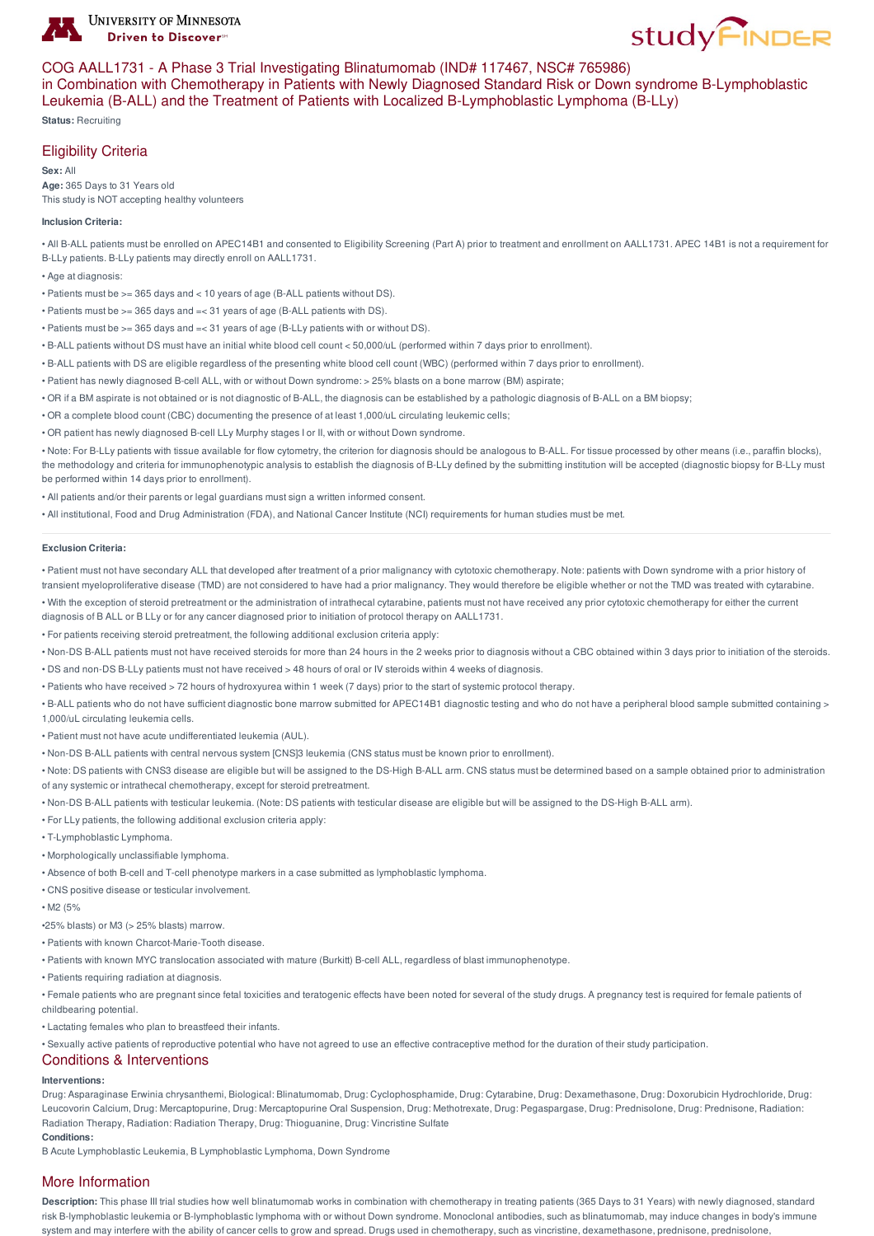



### COG AALL1731 - A Phase 3 Trial Investigating Blinatumomab (IND# 117467, NSC# 765986)

in Combination with Chemotherapy in Patients with Newly Diagnosed Standard Risk or Down syndrome B-Lymphoblastic Leukemia (B-ALL) and the Treatment of Patients with Localized B-Lymphoblastic Lymphoma (B-LLy)

**Status:** Recruiting

# Eligibility Criteria

**Sex:** All **Age:** 365 Days to 31 Years old This study is NOT accepting healthy volunteers

### **Inclusion Criteria:**

• All B-ALL patients must be enrolled on APEC14B1 and consented to Eligibility Screening (Part A) prior to treatment and enrollment on AALL1731. APEC 14B1 is not a requirement for B-LLy patients. B-LLy patients may directly enroll on AALL1731.

- Age at diagnosis:
- Patients must be >= 365 days and < 10 years of age (B-ALL patients without DS).
- Patients must be >= 365 days and =< 31 years of age (B-ALL patients with DS).
- Patients must be >= 365 days and =< 31 years of age (B-LLy patients with or without DS).
- B-ALL patients without DS must have an initial white blood cell count < 50,000/uL (performed within 7 days prior to enrollment).
- B-ALL patients with DS are eligible regardless of the presenting white blood cell count (WBC) (performed within 7 days prior to enrollment).
- Patient has newly diagnosed B-cell ALL, with or without Down syndrome: > 25% blasts on a bone marrow (BM) aspirate;
- OR if a BM aspirate is not obtained or is not diagnostic of B-ALL, the diagnosis can be established by a pathologic diagnosis of B-ALL on a BM biopsy;
- OR a complete blood count (CBC) documenting the presence of at least 1,000/uL circulating leukemic cells;
- OR patient has newly diagnosed B-cell LLy Murphy stages I or II, with or without Down syndrome.

• Note: For B-LLy patients with tissue available for flow cytometry, the criterion for diagnosis should be analogous to B-ALL. For tissue processed by other means (i.e., paraffin blocks), the methodology and criteria for immunophenotypic analysis to establish the diagnosis of B-LLy defined by the submitting institution will be accepted (diagnostic biopsy for B-LLy must be performed within 14 days prior to enrollment).

- All patients and/or their parents or legal guardians must sign a written informed consent.
- All institutional, Food and Drug Administration (FDA), and National Cancer Institute (NCI) requirements for human studies must be met.

#### **Exclusion Criteria:**

- Patient must not have secondary ALL that developed after treatment of a prior malignancy with cytotoxic chemotherapy. Note: patients with Down syndrome with a prior history of transient myeloproliferative disease (TMD) are not considered to have had a prior malignancy. They would therefore be eligible whether or not the TMD was treated with cytarabine.
- With the exception of steroid pretreatment or the administration of intrathecal cytarabine, patients must not have received any prior cytotoxic chemotherapy for either the current
- diagnosis of B ALL or B LLy or for any cancer diagnosed prior to initiation of protocol therapy on AALL1731.
- For patients receiving steroid pretreatment, the following additional exclusion criteria apply:
- Non-DS B-ALL patients must not have received steroids for more than 24 hours in the 2 weeks prior to diagnosis without a CBC obtained within 3 days prior to initiation of the steroids.
- DS and non-DS B-LLy patients must not have received > 48 hours of oral or IV steroids within 4 weeks of diagnosis.
- Patients who have received > 72 hours of hydroxyurea within 1 week (7 days) prior to the start of systemic protocol therapy.
- B-ALL patients who do not have sufficient diagnostic bone marrow submitted for APEC14B1 diagnostic testing and who do not have a peripheral blood sample submitted containing > 1,000/uL circulating leukemia cells.
- Patient must not have acute undifferentiated leukemia (AUL).
- Non-DS B-ALL patients with central nervous system [CNS]3 leukemia (CNS status must be known prior to enrollment).

• Note: DS patients with CNS3 disease are eligible but will be assigned to the DS-High B-ALL arm. CNS status must be determined based on a sample obtained prior to administration of any systemic or intrathecal chemotherapy, except for steroid pretreatment.

- Non-DS B-ALL patients with testicular leukemia. (Note: DS patients with testicular disease are eligible but will be assigned to the DS-High B-ALL arm).
- For LLy patients, the following additional exclusion criteria apply:
- T-Lymphoblastic Lymphoma.
- Morphologically unclassifiable lymphoma.
- Absence of both B-cell and T-cell phenotype markers in a case submitted as lymphoblastic lymphoma.
- CNS positive disease or testicular involvement.
- M2 (5%
- •25% blasts) or M3 (> 25% blasts) marrow.
- Patients with known Charcot-Marie-Tooth disease.
- Patients with known MYC translocation associated with mature (Burkitt) B-cell ALL, regardless of blast immunophenotype.
- Patients requiring radiation at diagnosis.
- Female patients who are pregnant since fetal toxicities and teratogenic effects have been noted for several of the study drugs. A pregnancy test is required for female patients of childbearing potential.
- Lactating females who plan to breastfeed their infants.
- Sexually active patients of reproductive potential who have not agreed to use an effective contraceptive method for the duration of their study participation.

## Conditions & Interventions

### **Interventions:**

Drug: Asparaginase Erwinia chrysanthemi, Biological: Blinatumomab, Drug: Cyclophosphamide, Drug: Cytarabine, Drug: Dexamethasone, Drug: Doxorubicin Hydrochloride, Drug: Leucovorin Calcium, Drug: Mercaptopurine, Drug: Mercaptopurine Oral Suspension, Drug: Methotrexate, Drug: Pegaspargase, Drug: Prednisolone, Drug: Prednisone, Radiation: Radiation Therapy, Radiation: Radiation Therapy, Drug: Thioguanine, Drug: Vincristine Sulfate **Conditions:**

B Acute Lymphoblastic Leukemia, B Lymphoblastic Lymphoma, Down Syndrome

## More Information

**Description:** This phase III trial studies how well blinatumomab works in combination with chemotherapy in treating patients (365 Days to 31 Years) with newly diagnosed, standard risk B-lymphoblastic leukemia or B-lymphoblastic lymphoma with or without Down syndrome. Monoclonal antibodies, such as blinatumomab, may induce changes in body's immune system and may interfere with the ability of cancer cells to grow and spread. Drugs used in chemotherapy, such as vincristine, dexamethasone, prednisone, prednisolone